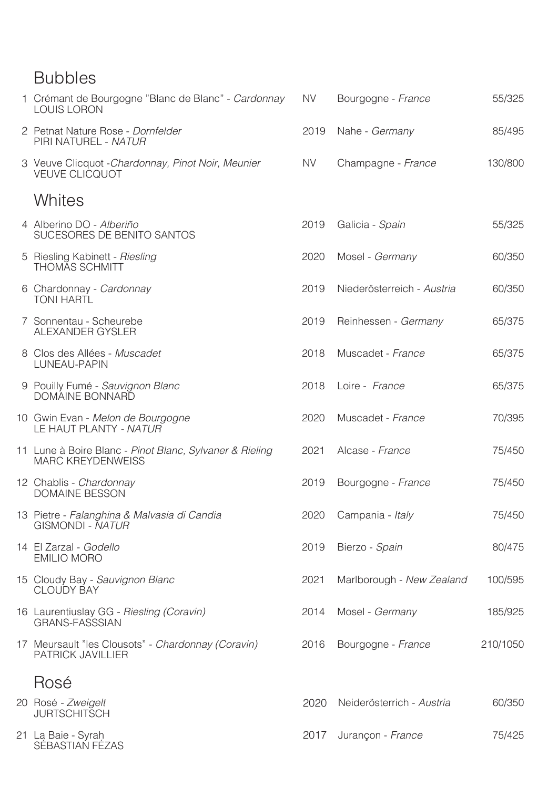### Bubbles

SÉBASTIAN FÉZAS

| 1 Crémant de Bourgogne "Blanc de Blanc" - Cardonnay<br><b>LOUIS LORON</b>           | <b>NV</b> | Bourgogne - France         | 55/325   |
|-------------------------------------------------------------------------------------|-----------|----------------------------|----------|
| 2 Petnat Nature Rose - Dornfelder<br>PIRI NATUREL - NATUR                           | 2019      | Nahe - Germany             | 85/495   |
| 3 Veuve Clicquot - Chardonnay, Pinot Noir, Meunier<br><b>VEUVE CLICQUOT</b>         | <b>NV</b> | Champagne - France         | 130/800  |
| Whites                                                                              |           |                            |          |
| 4 Alberino DO - Alberiño<br>SUCESORES DE BENITO SANTOS                              | 2019      | Galicia - Spain            | 55/325   |
| 5 Riesling Kabinett - Riesling<br><b>THOMAS SCHMITT</b>                             | 2020      | Mosel - Germany            | 60/350   |
| 6 Chardonnay - Cardonnay<br><b>TONI HARTL</b>                                       | 2019      | Niederösterreich - Austria | 60/350   |
| 7 Sonnentau - Scheurebe<br>ALEXANDER GYSLER                                         | 2019      | Reinhessen - Germany       | 65/375   |
| 8 Clos des Allées - Muscadet<br>LUNEAU-PAPIN                                        | 2018      | Muscadet - France          | 65/375   |
| 9 Pouilly Fumé - Sauvignon Blanc<br>DOMAINE BONNARD                                 | 2018      | Loire - France             | 65/375   |
| 10 Gwin Evan - Melon de Bourgogne<br>LE HAUT PLANTY - NATUR                         | 2020      | Muscadet - France          | 70/395   |
| 11 Lune à Boire Blanc - Pinot Blanc, Sylvaner & Rieling<br><b>MARC KREYDENWEISS</b> | 2021      | Alcase - France            | 75/450   |
| 12 Chablis - Chardonnay<br><b>DOMAINE BESSON</b>                                    | 2019      | Bourgogne - France         | 75/450   |
| 13 Pietre - Falanghina & Malvasia di Candia<br>GISMONDI - NATUR                     | 2020      | Campania - Italy           | 75/450   |
| 14 El Zarzal - Godello<br><b>EMILIO MORO</b>                                        | 2019      | Bierzo - Spain             | 80/475   |
| 15 Cloudy Bay - Sauvignon Blanc<br><b>CLOUDY BAY</b>                                | 2021      | Marlborough - New Zealand  | 100/595  |
| 16 Laurentiuslay GG - Riesling (Coravin)<br><b>GRANS-FASSSIAN</b>                   | 2014      | Mosel - Germany            | 185/925  |
| 17 Meursault "les Clousots" - Chardonnay (Coravin)<br>PATRICK JAVILLIER             | 2016      | Bourgogne - France         | 210/1050 |
| Rosé                                                                                |           |                            |          |
| 20 Rosé - Zweigelt<br><b>JURTSCHITSCH</b>                                           | 2020      | Neiderösterrich - Austria  | 60/350   |
| 21 La Baie - Syrah                                                                  | 2017      | Jurançon - France          | 75/425   |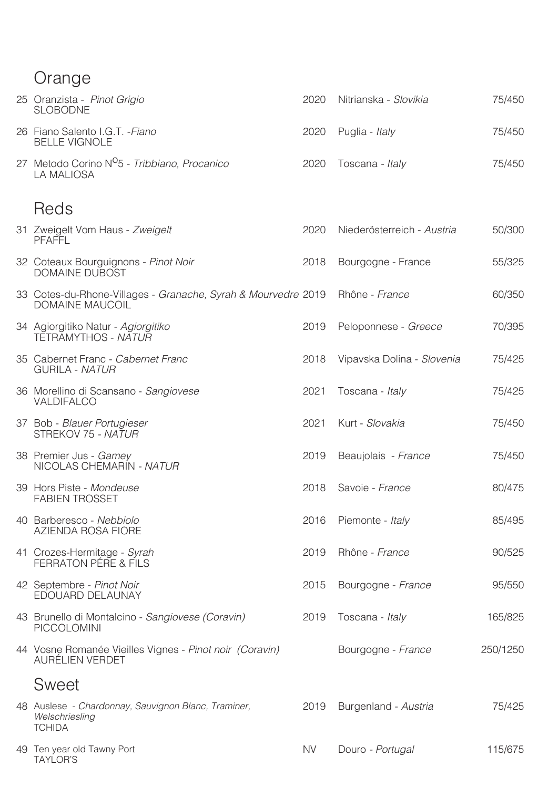# Orange

| 25 Oranzista - Pinot Grigio<br><b>SLOBODNE</b>                         | 2020 | Nitrianska - Slovikia | 75/450 |
|------------------------------------------------------------------------|------|-----------------------|--------|
| 26 Fiano Salento I.G.T. - Fiano<br><b>BELLE VIGNOLE</b>                |      | 2020 Puglia - Italy   | 75/450 |
| 27 Metodo Corino N <sup>O</sup> 5 - Tribbiano, Procanico<br>LA MALIOSA | 2020 | Toscana - Italy       | 75/450 |

## Reds

| 31 Zweigelt Vom Haus - Zweigelt<br><b>PFAFFL</b>                                        | 2020      | Niederösterreich - Austria | 50/300   |
|-----------------------------------------------------------------------------------------|-----------|----------------------------|----------|
| 32 Coteaux Bourguignons - Pinot Noir<br><b>DOMAINE DUBOST</b>                           | 2018      | Bourgogne - France         | 55/325   |
| 33 Cotes-du-Rhone-Villages - Granache, Syrah & Mourvedre 2019<br><b>DOMAINE MAUCOIL</b> |           | Rhône - France             | 60/350   |
| 34 Agiorgitiko Natur - Agiorgitiko<br>TĒTRĀMYTHOS - <i>NĀTUR</i>                        | 2019      | Peloponnese - Greece       | 70/395   |
| 35 Cabernet Franc - Cabernet Franc<br><b>GURILA - NATUR</b>                             | 2018      | Vipavska Dolina - Slovenia | 75/425   |
| 36 Morellino di Scansano - Sangiovese<br>VALDIFALCO                                     | 2021      | Toscana - Italy            | 75/425   |
| 37 Bob - Blauer Portugieser<br>STREKOV 75 - NATUR                                       | 2021      | Kurt - Slovakia            | 75/450   |
| 38 Premier Jus - Gamey<br>NICOLAS CHEMARIN - NATUR                                      | 2019      | Beaujolais - France        | 75/450   |
| 39 Hors Piste - Mondeuse<br><b>FABIEN TROSSET</b>                                       | 2018      | Savoie - France            | 80/475   |
| 40 Barberesco - Nebbiolo<br>AZIENDA ROSA FIORE                                          | 2016      | Piemonte - Italy           | 85/495   |
| 41 Crozes-Hermitage - Syrah<br>FERRATON PÉRE & FILS                                     | 2019      | Rhône - France             | 90/525   |
| 42 Septembre - Pinot Noir<br>EDOUARD DELAUNAY                                           | 2015      | Bourgogne - France         | 95/550   |
| 43 Brunello di Montalcino - Sangiovese (Coravin)<br>PICCOLOMINI                         | 2019      | Toscana - Italy            | 165/825  |
| 44 Vosne Romanée Vieilles Vignes - Pinot noir (Coravin)<br>AURÉLIEN VERDET              |           | Bourgogne - France         | 250/1250 |
| <b>Sweet</b>                                                                            |           |                            |          |
| 48 Auslese - Chardonnay, Sauvignon Blanc, Traminer,<br>Welschriesling<br><b>TCHIDA</b>  | 2019      | Burgenland - Austria       | 75/425   |
| 49 Ten year old Tawny Port<br><b>TAYLOR'S</b>                                           | <b>NV</b> | Douro - Portugal           | 115/675  |